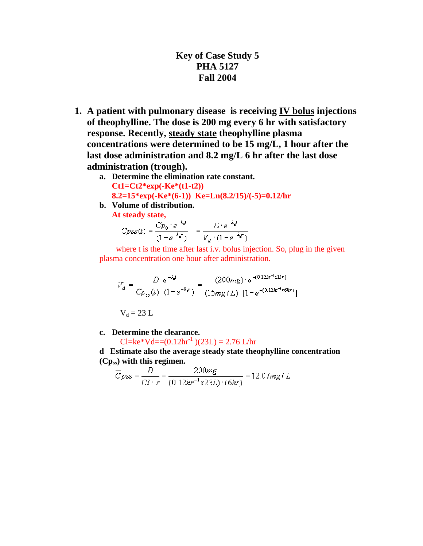## **Key of Case Study 5 PHA 5127 Fall 2004**

- **1. A patient with pulmonary disease is receiving IV bolus injections of theophylline. The dose is 200 mg every 6 hr with satisfactory response. Recently, steady state theophylline plasma concentrations were determined to be 15 mg/L, 1 hour after the last dose administration and 8.2 mg/L 6 hr after the last dose administration (trough).** 
	- **a. Determine the elimination rate constant. Ct1=Ct2\*exp(-Ke\*(t1-t2)) 8.2=15\*exp(-Ke\*(6-1)) Ke=Ln(8.2/15)/(-5)=0.12/hr**
	- **b. Volume of distribution.**

**At steady state,** 

$$
C_{PSS}(t) = \frac{C_{P_0} \cdot e^{-k_c t}}{(1 - e^{-k_c t})} = \frac{D \cdot e^{-k_c t}}{V_d \cdot (1 - e^{-k_c t})}
$$

where t is the time after last i.v. bolus injection. So, plug in the given plasma concentration one hour after administration.

$$
V_d = \frac{D \cdot e^{-k \cdot d}}{C p_{ss}(t) \cdot (1 - e^{-k \cdot d})} = \frac{(200mg) \cdot e^{-(0.12kr^{-1}x1kr)}}{(15mg/L) \cdot [1 - e^{-(0.12kr^{-1}x6kr)}}]}
$$
  
 
$$
V_d = 23 L
$$

**c. Determine the clearance.** 

$$
Cl = ke*Vd = (0.12hr-1)(23L) = 2.76 L/hr
$$

**d Estimate also the average steady state theophylline concentration (Cpss) with this regimen.**

$$
\overline{C}_{PSS} = \frac{D}{Cl \cdot r} = \frac{200mg}{(0.12hr^{-1}x23L) \cdot (6hr)} = 12.07mg/L
$$